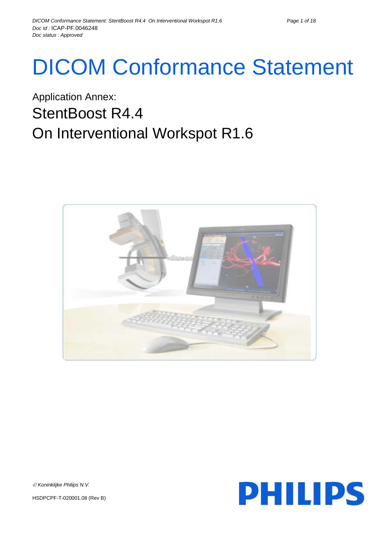# DICOM Conformance Statement

## Application Annex: StentBoost R4.4 On Interventional Workspot R1.6





*Koninklijke Philips N.V.*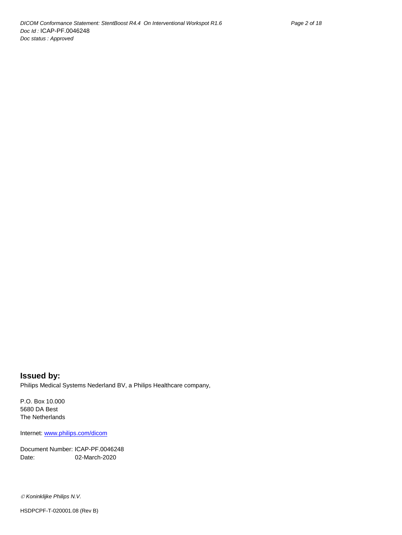**Issued by:** Philips Medical Systems Nederland BV, a Philips Healthcare company,

P.O. Box 10.000 5680 DA Best The Netherlands

Internet[: www.philips.com/dicom](www.philips.com/dicom)

Document Number: ICAP-PF.0046248 Date: 02-March-2020

*Koninklijke Philips N.V.*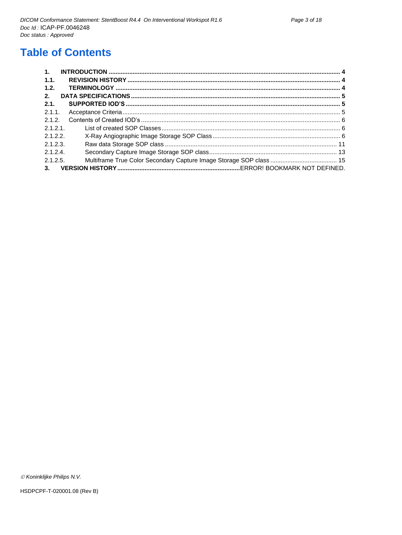## **Table of Contents**

| $\mathbf{1}$ . |  |
|----------------|--|
| $-1.1.$        |  |
| 1.2.           |  |
| 2.             |  |
| 2.1.           |  |
| 2.1.1          |  |
| 2.1.2.         |  |
| 2.1.2.1        |  |
| 2.1.2.2        |  |
| 2.1.2.3.       |  |
| 2.1.2.4        |  |
| 2.1.2.5.       |  |
| 3.             |  |

© Koninklijke Philips N.V.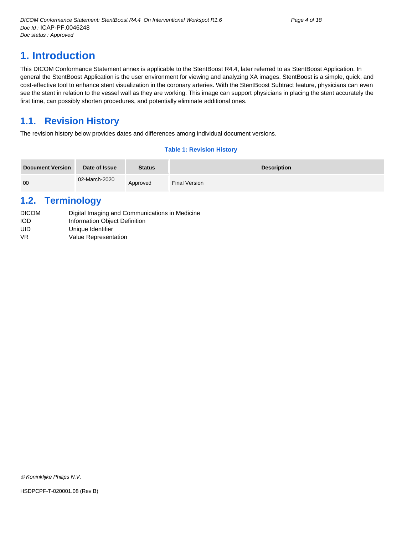## <span id="page-3-0"></span>**1. Introduction**

This DICOM Conformance Statement annex is applicable to the StentBoost R4.4, later referred to as StentBoost Application. In general the StentBoost Application is the user environment for viewing and analyzing XA images. StentBoost is a simple, quick, and cost-effective tool to enhance stent visualization in the coronary arteries. With the StentBoost Subtract feature, physicians can even see the stent in relation to the vessel wall as they are working. This image can support physicians in placing the stent accurately the first time, can possibly shorten procedures, and potentially eliminate additional ones.

## <span id="page-3-1"></span>**1.1. Revision History**

The revision history below provides dates and differences among individual document versions.

#### **Table 1: Revision History**

| <b>Document Version</b> | Date of Issue | <b>Status</b> | <b>Description</b> |
|-------------------------|---------------|---------------|--------------------|
| 00                      | 02-March-2020 | Approved      | Final Version      |

### <span id="page-3-2"></span>**1.2. Terminology**

| <b>DICOM</b> | Digital Imaging and Communications in Medicine |
|--------------|------------------------------------------------|
| <b>IOD</b>   | Information Object Definition                  |
| UID          | Unique Identifier                              |
| VR.          | Value Representation                           |

*Koninklijke Philips N.V.*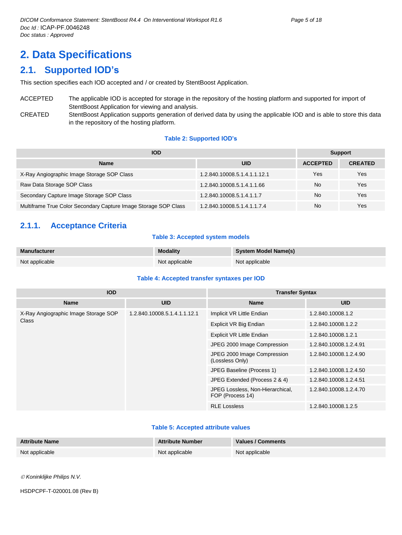## <span id="page-4-0"></span>**2. Data Specifications**

## <span id="page-4-1"></span>**2.1. Supported IOD's**

This section specifies each IOD accepted and / or created by StentBoost Application.

ACCEPTED The applicable IOD is accepted for storage in the repository of the hosting platform and supported for import of StentBoost Application for viewing and analysis. CREATED StentBoost Application supports generation of derived data by using the applicable IOD and is able to store this data in the repository of the hosting platform.

#### **Table 2: Supported IOD's**

| <b>IOD</b>                                                      | <b>Support</b>               |                 |                |
|-----------------------------------------------------------------|------------------------------|-----------------|----------------|
| <b>Name</b>                                                     | <b>UID</b>                   | <b>ACCEPTED</b> | <b>CREATED</b> |
| X-Ray Angiographic Image Storage SOP Class                      | 1.2.840.10008.5.1.4.1.1.12.1 | Yes             | Yes            |
| Raw Data Storage SOP Class                                      | 1.2.840.10008.5.1.4.1.1.66   | No              | Yes            |
| Secondary Capture Image Storage SOP Class                       | 1.2.840.10008.5.1.4.1.1.7    | No              | Yes            |
| Multiframe True Color Secondary Capture Image Storage SOP Class | 1.2.840.10008.5.1.4.1.1.7.4  | No              | Yes            |

#### <span id="page-4-2"></span>**2.1.1. Acceptance Criteria**

#### **Table 3: Accepted system models**

| <b>Manufacturer</b> | <b>Modality</b> | <b>System Model Name(s)</b> |
|---------------------|-----------------|-----------------------------|
| Not applicable      | Not applicable  | Not applicable              |

#### **Table 4: Accepted transfer syntaxes per IOD**

| <b>IOD</b>                           |                              | <b>Transfer Syntax</b>                               |                        |  |  |
|--------------------------------------|------------------------------|------------------------------------------------------|------------------------|--|--|
| <b>Name</b>                          | <b>UID</b>                   | <b>Name</b>                                          | <b>UID</b>             |  |  |
| X-Ray Angiographic Image Storage SOP | 1.2.840.10008.5.1.4.1.1.12.1 | Implicit VR Little Endian                            | 1.2.840.10008.1.2      |  |  |
| Class                                |                              | Explicit VR Big Endian                               | 1.2.840.10008.1.2.2    |  |  |
|                                      |                              | <b>Explicit VR Little Endian</b>                     | 1.2.840.10008.1.2.1    |  |  |
|                                      |                              | JPEG 2000 Image Compression                          | 1.2.840.10008.1.2.4.91 |  |  |
|                                      |                              | JPEG 2000 Image Compression<br>(Lossless Only)       | 1.2.840.10008.1.2.4.90 |  |  |
|                                      |                              | JPEG Baseline (Process 1)                            | 1.2.840.10008.1.2.4.50 |  |  |
|                                      |                              | JPEG Extended (Process 2 & 4)                        | 1.2.840.10008.1.2.4.51 |  |  |
|                                      |                              | JPEG Lossless, Non-Hierarchical,<br>FOP (Process 14) | 1.2.840.10008.1.2.4.70 |  |  |
|                                      |                              | <b>RLE Lossless</b>                                  | 1.2.840.10008.1.2.5    |  |  |

#### **Table 5: Accepted attribute values**

| <b>Attribute Name</b> | <b>Attribute Number</b> | Values / Comments |
|-----------------------|-------------------------|-------------------|
| Not applicable        | Not applicable          | Not applicable    |

*Koninklijke Philips N.V.*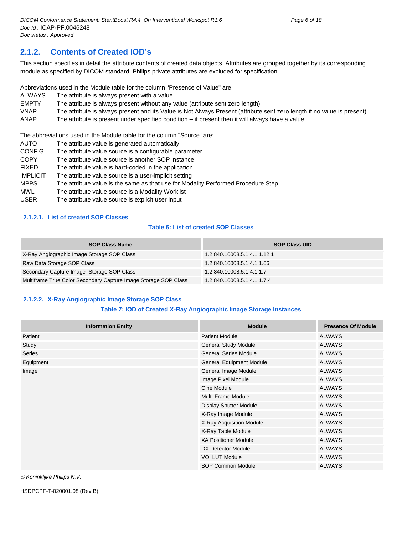#### <span id="page-5-0"></span>**2.1.2. Contents of Created IOD's**

This section specifies in detail the attribute contents of created data objects. Attributes are grouped together by its corresponding module as specified by DICOM standard. Philips private attributes are excluded for specification.

Abbreviations used in the Module table for the column "Presence of Value" are:

- ALWAYS The attribute is always present with a value
- EMPTY The attribute is always present without any value (attribute sent zero length)

VNAP The attribute is always present and its Value is Not Always Present (attribute sent zero length if no value is present)

ANAP The attribute is present under specified condition – if present then it will always have a value

The abbreviations used in the Module table for the column "Source" are:

- AUTO The attribute value is generated automatically
- CONFIG The attribute value source is a configurable parameter
- COPY The attribute value source is another SOP instance
- FIXED The attribute value is hard-coded in the application
- IMPLICIT The attribute value source is a user-implicit setting
- MPPS The attribute value is the same as that use for Modality Performed Procedure Step
- MWL The attribute value source is a Modality Worklist
- USER The attribute value source is explicit user input

#### <span id="page-5-1"></span>**2.1.2.1. List of created SOP Classes**

#### **Table 6: List of created SOP Classes**

| <b>SOP Class Name</b>                                           | <b>SOP Class UID</b>         |
|-----------------------------------------------------------------|------------------------------|
| X-Ray Angiographic Image Storage SOP Class                      | 1.2.840.10008.5.1.4.1.1.12.1 |
| Raw Data Storage SOP Class                                      | 1.2.840.10008.5.1.4.1.1.66   |
| Secondary Capture Image Storage SOP Class                       | 1.2.840.10008.5.1.4.1.1.7    |
| Multiframe True Color Secondary Capture Image Storage SOP Class | 1.2.840.10008.5.1.4.1.1.7.4  |

#### <span id="page-5-2"></span>**2.1.2.2. X-Ray Angiographic Image Storage SOP Class**

#### **Table 7: IOD of Created X-Ray Angiographic Image Storage Instances**

| <b>Information Entity</b> | <b>Module</b>                | <b>Presence Of Module</b> |
|---------------------------|------------------------------|---------------------------|
| Patient                   | <b>Patient Module</b>        | ALWAYS                    |
| Study                     | <b>General Study Module</b>  | <b>ALWAYS</b>             |
| Series                    | <b>General Series Module</b> | ALWAYS                    |
| Equipment                 | General Equipment Module     | ALWAYS                    |
| Image                     | General Image Module         | <b>ALWAYS</b>             |
|                           | Image Pixel Module           | <b>ALWAYS</b>             |
|                           | Cine Module                  | <b>ALWAYS</b>             |
|                           | Multi-Frame Module           | <b>ALWAYS</b>             |
|                           | Display Shutter Module       | ALWAYS                    |
|                           | X-Ray Image Module           | ALWAYS                    |
|                           | X-Ray Acquisition Module     | ALWAYS                    |
|                           | X-Ray Table Module           | <b>ALWAYS</b>             |
|                           | <b>XA Positioner Module</b>  | <b>ALWAYS</b>             |
|                           | DX Detector Module           | <b>ALWAYS</b>             |
|                           | <b>VOI LUT Module</b>        | ALWAYS                    |
|                           | SOP Common Module            | <b>ALWAYS</b>             |

 $\oslash$  Koninklijke Philips N.V.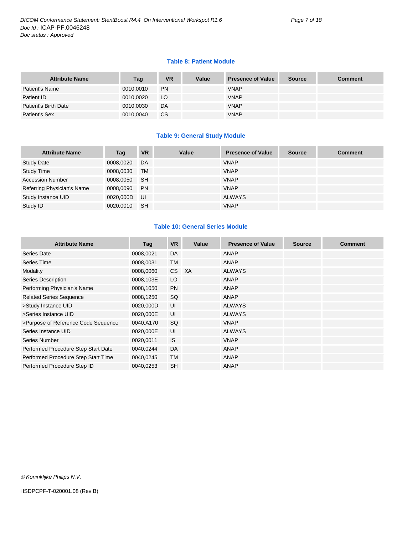#### **Table 8: Patient Module**

| <b>Attribute Name</b> | Tag       | <b>VR</b> | Value | <b>Presence of Value</b> | <b>Source</b> | <b>Comment</b> |
|-----------------------|-----------|-----------|-------|--------------------------|---------------|----------------|
| Patient's Name        | 0010,0010 | <b>PN</b> |       | <b>VNAP</b>              |               |                |
| Patient ID            | 0010,0020 | LO        |       | <b>VNAP</b>              |               |                |
| Patient's Birth Date  | 0010.0030 | DA        |       | <b>VNAP</b>              |               |                |
| Patient's Sex         | 0010,0040 | CS        |       | <b>VNAP</b>              |               |                |

#### **Table 9: General Study Module**

| <b>Attribute Name</b>      | Tag       | <b>VR</b> | Value | <b>Presence of Value</b> | <b>Source</b> | <b>Comment</b> |
|----------------------------|-----------|-----------|-------|--------------------------|---------------|----------------|
| <b>Study Date</b>          | 0008,0020 | DA        |       | <b>VNAP</b>              |               |                |
| <b>Study Time</b>          | 0008,0030 | <b>TM</b> |       | <b>VNAP</b>              |               |                |
| <b>Accession Number</b>    | 0008,0050 | <b>SH</b> |       | <b>VNAP</b>              |               |                |
| Referring Physician's Name | 0008,0090 | <b>PN</b> |       | <b>VNAP</b>              |               |                |
| Study Instance UID         | 0020,000D | UI        |       | <b>ALWAYS</b>            |               |                |
| Study ID                   | 0020.0010 | <b>SH</b> |       | <b>VNAP</b>              |               |                |

#### **Table 10: General Series Module**

| <b>Attribute Name</b>               | Tag       | <b>VR</b> | Value     | <b>Presence of Value</b> | <b>Source</b> | <b>Comment</b> |
|-------------------------------------|-----------|-----------|-----------|--------------------------|---------------|----------------|
| Series Date                         | 0008,0021 | DA        |           | ANAP                     |               |                |
| Series Time                         | 0008,0031 | <b>TM</b> |           | ANAP                     |               |                |
| Modality                            | 0008,0060 | CS .      | <b>XA</b> | <b>ALWAYS</b>            |               |                |
| Series Description                  | 0008,103E | LO        |           | ANAP                     |               |                |
| Performing Physician's Name         | 0008,1050 | <b>PN</b> |           | ANAP                     |               |                |
| <b>Related Series Sequence</b>      | 0008,1250 | <b>SQ</b> |           | ANAP                     |               |                |
| >Study Instance UID                 | 0020,000D | UI        |           | <b>ALWAYS</b>            |               |                |
| >Series Instance UID                | 0020,000E | UI        |           | <b>ALWAYS</b>            |               |                |
| >Purpose of Reference Code Sequence | 0040,A170 | SQ        |           | <b>VNAP</b>              |               |                |
| Series Instance UID                 | 0020,000E | UI        |           | <b>ALWAYS</b>            |               |                |
| Series Number                       | 0020,0011 | <b>IS</b> |           | <b>VNAP</b>              |               |                |
| Performed Procedure Step Start Date | 0040,0244 | DA        |           | ANAP                     |               |                |
| Performed Procedure Step Start Time | 0040,0245 | <b>TM</b> |           | ANAP                     |               |                |
| Performed Procedure Step ID         | 0040,0253 | <b>SH</b> |           | ANAP                     |               |                |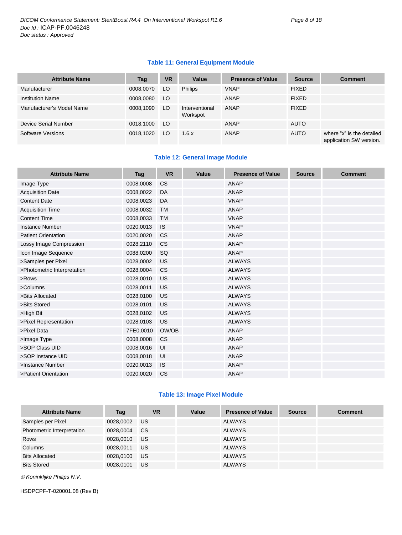#### **Table 11: General Equipment Module**

| <b>Attribute Name</b>     | Tag       | <b>VR</b> | Value                      | <b>Presence of Value</b> | <b>Source</b> | <b>Comment</b>                                       |
|---------------------------|-----------|-----------|----------------------------|--------------------------|---------------|------------------------------------------------------|
| Manufacturer              | 0008,0070 | LO.       | <b>Philips</b>             | <b>VNAP</b>              | <b>FIXED</b>  |                                                      |
| <b>Institution Name</b>   | 0008,0080 | LO.       |                            | ANAP                     | <b>FIXED</b>  |                                                      |
| Manufacturer's Model Name | 0008,1090 | LO        | Interventional<br>Workspot | ANAP                     | <b>FIXED</b>  |                                                      |
| Device Serial Number      | 0018,1000 | LO.       |                            | ANAP                     | <b>AUTO</b>   |                                                      |
| Software Versions         | 0018.1020 | LO.       | 1.6.x                      | ANAP                     | <b>AUTO</b>   | where "x" is the detailed<br>application SW version. |

#### **Table 12: General Image Module**

| <b>Attribute Name</b>       | Tag       | <b>VR</b> | Value | <b>Presence of Value</b> | <b>Source</b> | <b>Comment</b> |
|-----------------------------|-----------|-----------|-------|--------------------------|---------------|----------------|
| Image Type                  | 0008,0008 | <b>CS</b> |       | <b>ANAP</b>              |               |                |
| <b>Acquisition Date</b>     | 0008,0022 | DA        |       | <b>ANAP</b>              |               |                |
| <b>Content Date</b>         | 0008,0023 | DA        |       | <b>VNAP</b>              |               |                |
| <b>Acquisition Time</b>     | 0008,0032 | <b>TM</b> |       | <b>ANAP</b>              |               |                |
| <b>Content Time</b>         | 0008,0033 | <b>TM</b> |       | <b>VNAP</b>              |               |                |
| <b>Instance Number</b>      | 0020,0013 | <b>IS</b> |       | <b>VNAP</b>              |               |                |
| <b>Patient Orientation</b>  | 0020,0020 | <b>CS</b> |       | <b>ANAP</b>              |               |                |
| Lossy Image Compression     | 0028,2110 | CS        |       | <b>ANAP</b>              |               |                |
| Icon Image Sequence         | 0088,0200 | SQ        |       | <b>ANAP</b>              |               |                |
| >Samples per Pixel          | 0028,0002 | US        |       | <b>ALWAYS</b>            |               |                |
| >Photometric Interpretation | 0028,0004 | <b>CS</b> |       | <b>ALWAYS</b>            |               |                |
| >Rows                       | 0028,0010 | <b>US</b> |       | <b>ALWAYS</b>            |               |                |
| >Columns                    | 0028,0011 | US        |       | <b>ALWAYS</b>            |               |                |
| >Bits Allocated             | 0028,0100 | <b>US</b> |       | <b>ALWAYS</b>            |               |                |
| >Bits Stored                | 0028,0101 | US        |       | <b>ALWAYS</b>            |               |                |
| >High Bit                   | 0028,0102 | <b>US</b> |       | <b>ALWAYS</b>            |               |                |
| >Pixel Representation       | 0028,0103 | US        |       | <b>ALWAYS</b>            |               |                |
| >Pixel Data                 | 7FE0,0010 | OW/OB     |       | <b>ANAP</b>              |               |                |
| >Image Type                 | 0008,0008 | <b>CS</b> |       | <b>ANAP</b>              |               |                |
| >SOP Class UID              | 0008,0016 | UI        |       | <b>ANAP</b>              |               |                |
| >SOP Instance UID           | 0008,0018 | UI        |       | <b>ANAP</b>              |               |                |
| >Instance Number            | 0020,0013 | <b>IS</b> |       | <b>ANAP</b>              |               |                |
| >Patient Orientation        | 0020,0020 | <b>CS</b> |       | <b>ANAP</b>              |               |                |

#### **Table 13: Image Pixel Module**

| <b>Attribute Name</b>      | Tag       | <b>VR</b> | Value | <b>Presence of Value</b> | <b>Source</b> | <b>Comment</b> |
|----------------------------|-----------|-----------|-------|--------------------------|---------------|----------------|
| Samples per Pixel          | 0028,0002 | US.       |       | ALWAYS                   |               |                |
| Photometric Interpretation | 0028,0004 | CS.       |       | <b>ALWAYS</b>            |               |                |
| <b>Rows</b>                | 0028,0010 | US        |       | <b>ALWAYS</b>            |               |                |
| Columns                    | 0028.0011 | US        |       | <b>ALWAYS</b>            |               |                |
| <b>Bits Allocated</b>      | 0028,0100 | US        |       | <b>ALWAYS</b>            |               |                |
| <b>Bits Stored</b>         | 0028.0101 | US.       |       | <b>ALWAYS</b>            |               |                |

*Koninklijke Philips N.V.*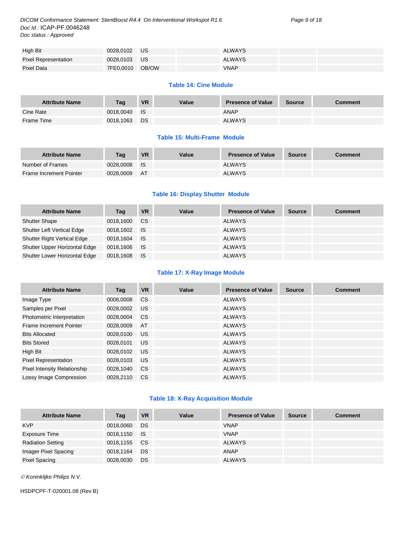*DICOM Conformance Statement: StentBoost R4.4 On Interventional Workspot R1.6 Page 9 of 18 Doc Id :* ICAP-PF.0046248 *Doc status : Approved*

| High Bit                    | 0028,0102 US    |  | ALWAYS      |  |
|-----------------------------|-----------------|--|-------------|--|
| <b>Pixel Representation</b> | 0028.0103 US    |  | ALWAYS      |  |
| Pixel Data                  | 7FE0,0010 OB/OW |  | <b>VNAP</b> |  |

#### **Table 14: Cine Module**

| <b>Attribute Name</b> | Taq       | <b>VR</b> | Value | <b>Presence of Value</b> | <b>Source</b> | <b>Comment</b> |
|-----------------------|-----------|-----------|-------|--------------------------|---------------|----------------|
| Cine Rate             | 0018.0040 | <b>IS</b> |       | <b>ANAP</b>              |               |                |
| Frame Time            | 0018.1063 | DS        |       | <b>ALWAYS</b>            |               |                |

#### **Table 15: Multi-Frame Module**

| <b>Attribute Name</b>   | Taq       | <b>VR</b> | Value | <b>Presence of Value</b> | <b>Source</b> | Comment |
|-------------------------|-----------|-----------|-------|--------------------------|---------------|---------|
| Number of Frames        | 0028.0008 | - IS      |       | <b>ALWAYS</b>            |               |         |
| Frame Increment Pointer | 0028.0009 | - AT      |       | <b>ALWAYS</b>            |               |         |

#### **Table 16: Display Shutter Module**

| <b>Attribute Name</b>              | Tag          | <b>VR</b> | Value | <b>Presence of Value</b> | <b>Source</b> | <b>Comment</b> |
|------------------------------------|--------------|-----------|-------|--------------------------|---------------|----------------|
| <b>Shutter Shape</b>               | 0018,1600    | CS.       |       | <b>ALWAYS</b>            |               |                |
| <b>Shutter Left Vertical Edge</b>  | 0018.1602 IS |           |       | <b>ALWAYS</b>            |               |                |
| <b>Shutter Right Vertical Edge</b> | 0018.1604    | ⊟ IS      |       | <b>ALWAYS</b>            |               |                |
| Shutter Upper Horizontal Edge      | 0018,1606 IS |           |       | <b>ALWAYS</b>            |               |                |
| Shutter Lower Horizontal Edge      | 0018,1608    | ⊟ IS      |       | <b>ALWAYS</b>            |               |                |

#### **Table 17: X-Ray Image Module**

| <b>Attribute Name</b>               | Tag       | <b>VR</b>     | Value | <b>Presence of Value</b> | <b>Source</b> | <b>Comment</b> |
|-------------------------------------|-----------|---------------|-------|--------------------------|---------------|----------------|
| Image Type                          | 0008,0008 | <b>CS</b>     |       | <b>ALWAYS</b>            |               |                |
| Samples per Pixel                   | 0028,0002 | US            |       | <b>ALWAYS</b>            |               |                |
| Photometric Interpretation          | 0028,0004 | <sub>CS</sub> |       | <b>ALWAYS</b>            |               |                |
| Frame Increment Pointer             | 0028,0009 | AT            |       | <b>ALWAYS</b>            |               |                |
| <b>Bits Allocated</b>               | 0028,0100 | <b>US</b>     |       | <b>ALWAYS</b>            |               |                |
| <b>Bits Stored</b>                  | 0028,0101 | <b>US</b>     |       | <b>ALWAYS</b>            |               |                |
| High Bit                            | 0028,0102 | <b>US</b>     |       | <b>ALWAYS</b>            |               |                |
| <b>Pixel Representation</b>         | 0028,0103 | <b>US</b>     |       | <b>ALWAYS</b>            |               |                |
| <b>Pixel Intensity Relationship</b> | 0028,1040 | CS.           |       | <b>ALWAYS</b>            |               |                |
| Lossy Image Compression             | 0028.2110 | <b>CS</b>     |       | <b>ALWAYS</b>            |               |                |

#### **Table 18: X-Ray Acquisition Module**

| <b>Attribute Name</b>    | Tag       | <b>VR</b>       | Value | <b>Presence of Value</b> | <b>Source</b> | <b>Comment</b> |
|--------------------------|-----------|-----------------|-------|--------------------------|---------------|----------------|
| <b>KVP</b>               | 0018,0060 | DS              |       | <b>VNAP</b>              |               |                |
| Exposure Time            | 0018,1150 | ⊟ IS            |       | <b>VNAP</b>              |               |                |
| <b>Radiation Setting</b> | 0018,1155 | CS <sub>1</sub> |       | <b>ALWAYS</b>            |               |                |
| Imager Pixel Spacing     | 0018,1164 | DS              |       | ANAP                     |               |                |
| <b>Pixel Spacing</b>     | 0028,0030 | DS              |       | <b>ALWAYS</b>            |               |                |

*Koninklijke Philips N.V.*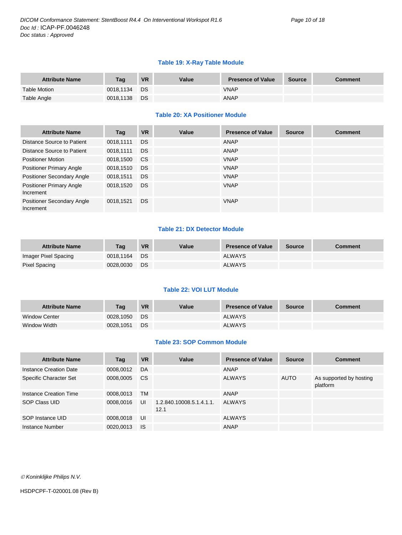#### **Table 19: X-Ray Table Module**

| <b>Attribute Name</b> | Taq       | <b>VR</b> | Value | <b>Presence of Value</b> | <b>Source</b> | <b>Comment</b> |
|-----------------------|-----------|-----------|-------|--------------------------|---------------|----------------|
| <b>Table Motion</b>   | 0018.1134 | <b>DS</b> |       | <b>VNAP</b>              |               |                |
| Table Angle           | 0018,1138 | <b>DS</b> |       | <b>ANAP</b>              |               |                |

#### **Table 20: XA Positioner Module**

| <b>Attribute Name</b>                          | Tag       | <b>VR</b>     | Value | <b>Presence of Value</b> | <b>Source</b> | <b>Comment</b> |
|------------------------------------------------|-----------|---------------|-------|--------------------------|---------------|----------------|
| Distance Source to Patient                     | 0018,1111 | <b>DS</b>     |       | ANAP                     |               |                |
| Distance Source to Patient                     | 0018,1111 | <b>DS</b>     |       | ANAP                     |               |                |
| <b>Positioner Motion</b>                       | 0018,1500 | <sub>CS</sub> |       | <b>VNAP</b>              |               |                |
| <b>Positioner Primary Angle</b>                | 0018,1510 | <b>DS</b>     |       | <b>VNAP</b>              |               |                |
| Positioner Secondary Angle                     | 0018,1511 | <b>DS</b>     |       | <b>VNAP</b>              |               |                |
| <b>Positioner Primary Angle</b><br>Increment   | 0018,1520 | <b>DS</b>     |       | <b>VNAP</b>              |               |                |
| <b>Positioner Secondary Angle</b><br>Increment | 0018,1521 | <b>DS</b>     |       | <b>VNAP</b>              |               |                |

#### **Table 21: DX Detector Module**

| <b>Attribute Name</b> | Taq       | <b>VR</b> | Value | <b>Presence of Value</b> | <b>Source</b> | Comment |
|-----------------------|-----------|-----------|-------|--------------------------|---------------|---------|
| Imager Pixel Spacing  | 0018.1164 | <b>DS</b> |       | <b>ALWAYS</b>            |               |         |
| Pixel Spacing         | 0028,0030 | DS        |       | <b>ALWAYS</b>            |               |         |

#### **Table 22: VOI LUT Module**

| <b>Attribute Name</b> | Tag       | <b>VR</b> | Value | <b>Presence of Value</b> | <b>Source</b> | Comment |
|-----------------------|-----------|-----------|-------|--------------------------|---------------|---------|
| <b>Window Center</b>  | 0028.1050 | DS:       |       | <b>ALWAYS</b>            |               |         |
| Window Width          | 0028.1051 | DS        |       | <b>ALWAYS</b>            |               |         |

#### **Table 23: SOP Common Module**

| <b>Attribute Name</b>  | Tag       | <b>VR</b> | Value                            | <b>Presence of Value</b> | <b>Source</b> | <b>Comment</b>                      |
|------------------------|-----------|-----------|----------------------------------|--------------------------|---------------|-------------------------------------|
| Instance Creation Date | 0008,0012 | DA        |                                  | ANAP                     |               |                                     |
| Specific Character Set | 0008,0005 | <b>CS</b> |                                  | <b>ALWAYS</b>            | <b>AUTO</b>   | As supported by hosting<br>platform |
| Instance Creation Time | 0008,0013 | TМ        |                                  | ANAP                     |               |                                     |
| SOP Class UID          | 0008,0016 | UI        | 1.2.840.10008.5.1.4.1.1.<br>12.1 | <b>ALWAYS</b>            |               |                                     |
| SOP Instance UID       | 0008.0018 | UI        |                                  | <b>ALWAYS</b>            |               |                                     |
| Instance Number        | 0020,0013 | <b>IS</b> |                                  | <b>ANAP</b>              |               |                                     |

*Koninklijke Philips N.V.*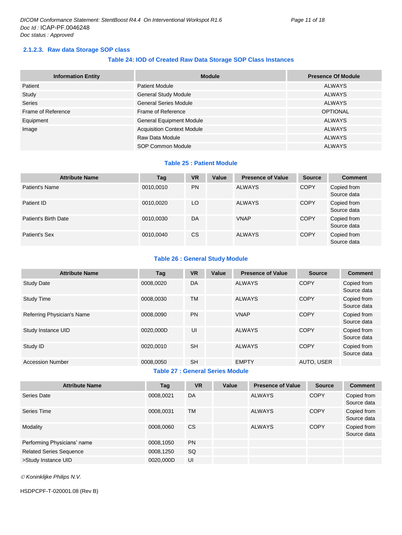#### <span id="page-10-0"></span>**2.1.2.3. Raw data Storage SOP class**

#### **Table 24: IOD of Created Raw Data Storage SOP Class Instances**

| <b>Information Entity</b> | <b>Module</b>                     | <b>Presence Of Module</b> |
|---------------------------|-----------------------------------|---------------------------|
| Patient                   | <b>Patient Module</b>             | <b>ALWAYS</b>             |
| Study                     | <b>General Study Module</b>       | <b>ALWAYS</b>             |
| <b>Series</b>             | <b>General Series Module</b>      | <b>ALWAYS</b>             |
| Frame of Reference        | Frame of Reference                | <b>OPTIONAL</b>           |
| Equipment                 | <b>General Equipment Module</b>   | <b>ALWAYS</b>             |
| Image                     | <b>Acquisition Context Module</b> | <b>ALWAYS</b>             |
|                           | Raw Data Module                   | <b>ALWAYS</b>             |
|                           | <b>SOP Common Module</b>          | <b>ALWAYS</b>             |

#### **Table 25 : Patient Module**

| <b>Attribute Name</b> | Tag       | <b>VR</b> | Value | <b>Presence of Value</b> | <b>Source</b> | <b>Comment</b>             |
|-----------------------|-----------|-----------|-------|--------------------------|---------------|----------------------------|
| Patient's Name        | 0010,0010 | <b>PN</b> |       | <b>ALWAYS</b>            | <b>COPY</b>   | Copied from<br>Source data |
| Patient ID            | 0010,0020 | LO.       |       | <b>ALWAYS</b>            | <b>COPY</b>   | Copied from<br>Source data |
| Patient's Birth Date  | 0010,0030 | DA        |       | <b>VNAP</b>              | <b>COPY</b>   | Copied from<br>Source data |
| Patient's Sex         | 0010,0040 | CS        |       | <b>ALWAYS</b>            | <b>COPY</b>   | Copied from<br>Source data |

#### **Table 26 : General Study Module**

| <b>Attribute Name</b>      | Tag       | <b>VR</b> | Value | <b>Presence of Value</b> | <b>Source</b> | <b>Comment</b>             |
|----------------------------|-----------|-----------|-------|--------------------------|---------------|----------------------------|
| <b>Study Date</b>          | 0008,0020 | DA        |       | <b>ALWAYS</b>            | <b>COPY</b>   | Copied from<br>Source data |
| <b>Study Time</b>          | 0008.0030 | <b>TM</b> |       | <b>ALWAYS</b>            | <b>COPY</b>   | Copied from<br>Source data |
| Referring Physician's Name | 0008.0090 | <b>PN</b> |       | <b>VNAP</b>              | <b>COPY</b>   | Copied from<br>Source data |
| Study Instance UID         | 0020.000D | UI        |       | <b>ALWAYS</b>            | <b>COPY</b>   | Copied from<br>Source data |
| Study ID                   | 0020,0010 | <b>SH</b> |       | <b>ALWAYS</b>            | <b>COPY</b>   | Copied from<br>Source data |
| <b>Accession Number</b>    | 0008,0050 | <b>SH</b> |       | <b>EMPTY</b>             | AUTO, USER    |                            |

#### **Table 27 : General Series Module**

| <b>Attribute Name</b>          | Tag       | <b>VR</b> | Value | <b>Presence of Value</b> | <b>Source</b> | <b>Comment</b>             |
|--------------------------------|-----------|-----------|-------|--------------------------|---------------|----------------------------|
| Series Date                    | 0008,0021 | DA        |       | <b>ALWAYS</b>            | <b>COPY</b>   | Copied from<br>Source data |
| Series Time                    | 0008,0031 | <b>TM</b> |       | <b>ALWAYS</b>            | <b>COPY</b>   | Copied from<br>Source data |
| Modality                       | 0008.0060 | <b>CS</b> |       | <b>ALWAYS</b>            | <b>COPY</b>   | Copied from<br>Source data |
| Performing Physicians' name    | 0008,1050 | <b>PN</b> |       |                          |               |                            |
| <b>Related Series Sequence</b> | 0008,1250 | SQ        |       |                          |               |                            |
| >Study Instance UID            | 0020,000D | UI        |       |                          |               |                            |

*Koninklijke Philips N.V.*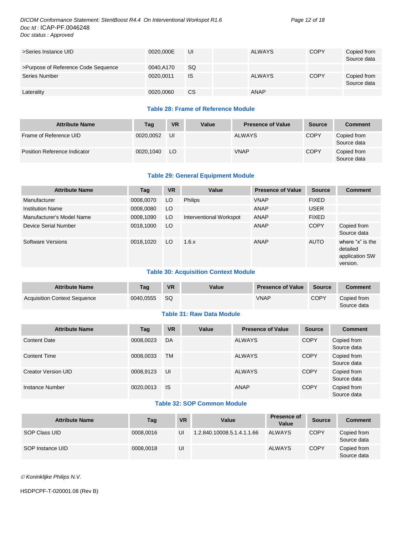#### *DICOM Conformance Statement: StentBoost R4.4 On Interventional Workspot R1.6 Page 12 of 18 Doc Id :* ICAP-PF.0046248 *Doc status : Approved*

| >Series Instance UID                | 0020.000E | UI        | <b>ALWAYS</b> | <b>COPY</b> | Copied from<br>Source data |
|-------------------------------------|-----------|-----------|---------------|-------------|----------------------------|
| >Purpose of Reference Code Sequence | 0040.A170 | SQ.       |               |             |                            |
| Series Number                       | 0020.0011 | <b>IS</b> | <b>ALWAYS</b> | <b>COPY</b> | Copied from<br>Source data |
| Laterality                          | 0020,0060 | <b>CS</b> | ANAP          |             |                            |

#### **Table 28: Frame of Reference Module**

| <b>Attribute Name</b>               | Tag       | <b>VR</b> | Value | <b>Presence of Value</b> | <b>Source</b> | <b>Comment</b>             |
|-------------------------------------|-----------|-----------|-------|--------------------------|---------------|----------------------------|
| Frame of Reference UID              | 0020.0052 | UI        |       | <b>ALWAYS</b>            | <b>COPY</b>   | Copied from<br>Source data |
| <b>Position Reference Indicator</b> | 0020.1040 | LO        |       | <b>VNAP</b>              | <b>COPY</b>   | Copied from<br>Source data |

#### **Table 29: General Equipment Module**

| <b>Attribute Name</b>     | Tag       | <b>VR</b> | Value                   | <b>Presence of Value</b> | <b>Source</b> | <b>Comment</b>                                             |
|---------------------------|-----------|-----------|-------------------------|--------------------------|---------------|------------------------------------------------------------|
| Manufacturer              | 0008,0070 | LO        | <b>Philips</b>          | <b>VNAP</b>              | <b>FIXED</b>  |                                                            |
| <b>Institution Name</b>   | 0008,0080 | LO        |                         | ANAP                     | <b>USER</b>   |                                                            |
| Manufacturer's Model Name | 0008,1090 | LO        | Interventional Workspot | ANAP                     | <b>FIXED</b>  |                                                            |
| Device Serial Number      | 0018,1000 | LO.       |                         | ANAP                     | <b>COPY</b>   | Copied from<br>Source data                                 |
| Software Versions         | 0018.1020 | LO        | 1.6.x                   | ANAP                     | <b>AUTO</b>   | where "x" is the<br>detailed<br>application SW<br>version. |

#### **Table 30: Acquisition Context Module**

| <b>Attribute Name</b>               | Tag       | <b>VR</b> | Value | <b>Presence of Value</b> | <b>Source</b> | <b>Comment</b>             |
|-------------------------------------|-----------|-----------|-------|--------------------------|---------------|----------------------------|
| <b>Acquisition Context Sequence</b> | 0040.0555 | SQ        |       | <b>VNAP</b>              | <b>COPY</b>   | Copied from<br>Source data |

#### **Table 31: Raw Data Module**

| <b>Attribute Name</b>      | Tag       | <b>VR</b> | Value | <b>Presence of Value</b> | <b>Source</b> | <b>Comment</b>             |
|----------------------------|-----------|-----------|-------|--------------------------|---------------|----------------------------|
| <b>Content Date</b>        | 0008,0023 | DA        |       | <b>ALWAYS</b>            | <b>COPY</b>   | Copied from<br>Source data |
| <b>Content Time</b>        | 0008,0033 | <b>TM</b> |       | <b>ALWAYS</b>            | <b>COPY</b>   | Copied from<br>Source data |
| <b>Creator Version UID</b> | 0008,9123 | UI        |       | <b>ALWAYS</b>            | <b>COPY</b>   | Copied from<br>Source data |
| Instance Number            | 0020,0013 | <b>IS</b> |       | ANAP                     | <b>COPY</b>   | Copied from<br>Source data |

#### **Table 32: SOP Common Module**

| <b>Attribute Name</b> | Tag       | <b>VR</b> | Value                      | Presence of<br>Value | <b>Source</b> | <b>Comment</b>             |
|-----------------------|-----------|-----------|----------------------------|----------------------|---------------|----------------------------|
| SOP Class UID         | 0008.0016 | UI        | 1.2.840.10008.5.1.4.1.1.66 | <b>ALWAYS</b>        | <b>COPY</b>   | Copied from<br>Source data |
| SOP Instance UID      | 0008.0018 | UI        |                            | <b>ALWAYS</b>        | <b>COPY</b>   | Copied from<br>Source data |

*Koninklijke Philips N.V.*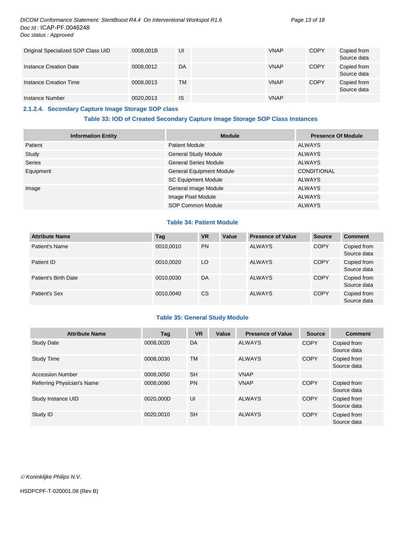#### *DICOM Conformance Statement: StentBoost R4.4 On Interventional Workspot R1.6 Page 13 of 18 Doc Id :* ICAP-PF.0046248 *Doc status : Approved*

| Original Specialized SOP Class UID | 0008.001B | UI        | <b>VNAP</b> | <b>COPY</b> | Copied from<br>Source data |
|------------------------------------|-----------|-----------|-------------|-------------|----------------------------|
| Instance Creation Date             | 0008,0012 | <b>DA</b> | <b>VNAP</b> | <b>COPY</b> | Copied from<br>Source data |
| Instance Creation Time             | 0008.0013 | TM        | <b>VNAP</b> | <b>COPY</b> | Copied from<br>Source data |
| Instance Number                    | 0020,0013 | IS        | <b>VNAP</b> |             |                            |

#### <span id="page-12-0"></span>**2.1.2.4. Secondary Capture Image Storage SOP class**

#### **Table 33: IOD of Created Secondary Capture Image Storage SOP Class Instances**

| <b>Information Entity</b> | <b>Module</b>                   | <b>Presence Of Module</b> |
|---------------------------|---------------------------------|---------------------------|
| Patient                   | <b>Patient Module</b>           | <b>ALWAYS</b>             |
| Study                     | <b>General Study Module</b>     | <b>ALWAYS</b>             |
| <b>Series</b>             | <b>General Series Module</b>    | <b>ALWAYS</b>             |
| Equipment                 | <b>General Equipment Module</b> | <b>CONDITIONAL</b>        |
|                           | <b>SC Equipment Module</b>      | ALWAYS                    |
| Image                     | General Image Module            | <b>ALWAYS</b>             |
|                           | Image Pixel Module              | <b>ALWAYS</b>             |
|                           | SOP Common Module               | <b>ALWAYS</b>             |

#### **Table 34: Patient Module**

| <b>Attribute Name</b> | <b>Tag</b> | <b>VR</b> | Value | <b>Presence of Value</b> | <b>Source</b> | <b>Comment</b>             |
|-----------------------|------------|-----------|-------|--------------------------|---------------|----------------------------|
| Patient's Name        | 0010.0010  | <b>PN</b> |       | <b>ALWAYS</b>            | <b>COPY</b>   | Copied from<br>Source data |
| Patient ID            | 0010.0020  | LO        |       | <b>ALWAYS</b>            | <b>COPY</b>   | Copied from<br>Source data |
| Patient's Birth Date  | 0010.0030  | DA        |       | <b>ALWAYS</b>            | <b>COPY</b>   | Copied from<br>Source data |
| Patient's Sex         | 0010,0040  | СS        |       | <b>ALWAYS</b>            | <b>COPY</b>   | Copied from<br>Source data |

#### **Table 35: General Study Module**

| <b>Attribute Name</b>      | Tag       | <b>VR</b> | Value | <b>Presence of Value</b> | <b>Source</b> | <b>Comment</b>             |
|----------------------------|-----------|-----------|-------|--------------------------|---------------|----------------------------|
| <b>Study Date</b>          | 0008.0020 | DA        |       | <b>ALWAYS</b>            | <b>COPY</b>   | Copied from<br>Source data |
| <b>Study Time</b>          | 0008.0030 | <b>TM</b> |       | <b>ALWAYS</b>            | <b>COPY</b>   | Copied from<br>Source data |
| <b>Accession Number</b>    | 0008,0050 | <b>SH</b> |       | <b>VNAP</b>              |               |                            |
| Referring Physician's Name | 0008,0090 | <b>PN</b> |       | <b>VNAP</b>              | <b>COPY</b>   | Copied from<br>Source data |
| Study Instance UID         | 0020.000D | UI        |       | <b>ALWAYS</b>            | <b>COPY</b>   | Copied from<br>Source data |
| Study ID                   | 0020.0010 | <b>SH</b> |       | <b>ALWAYS</b>            | <b>COPY</b>   | Copied from<br>Source data |

*Koninklijke Philips N.V.*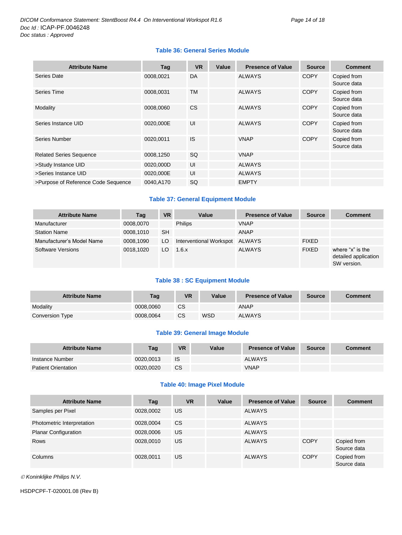#### **Table 36: General Series Module**

| <b>Attribute Name</b>               | Tag       | <b>VR</b> | Value | <b>Presence of Value</b> | <b>Source</b> | <b>Comment</b>             |
|-------------------------------------|-----------|-----------|-------|--------------------------|---------------|----------------------------|
| Series Date                         | 0008,0021 | DA        |       | <b>ALWAYS</b>            | <b>COPY</b>   | Copied from<br>Source data |
| Series Time                         | 0008,0031 | TM        |       | <b>ALWAYS</b>            | <b>COPY</b>   | Copied from<br>Source data |
| Modality                            | 0008.0060 | <b>CS</b> |       | <b>ALWAYS</b>            | <b>COPY</b>   | Copied from<br>Source data |
| Series Instance UID                 | 0020,000E | UI        |       | <b>ALWAYS</b>            | <b>COPY</b>   | Copied from<br>Source data |
| Series Number                       | 0020,0011 | <b>IS</b> |       | <b>VNAP</b>              | <b>COPY</b>   | Copied from<br>Source data |
| <b>Related Series Sequence</b>      | 0008,1250 | <b>SQ</b> |       | <b>VNAP</b>              |               |                            |
| >Study Instance UID                 | 0020,000D | UI        |       | <b>ALWAYS</b>            |               |                            |
| >Series Instance UID                | 0020,000E | UI        |       | <b>ALWAYS</b>            |               |                            |
| >Purpose of Reference Code Sequence | 0040,A170 | SQ        |       | <b>EMPTY</b>             |               |                            |

#### **Table 37: General Equipment Module**

| <b>Attribute Name</b>     | Tag       | <b>VR</b> | Value                   | <b>Presence of Value</b> | <b>Source</b> | <b>Comment</b>                                          |
|---------------------------|-----------|-----------|-------------------------|--------------------------|---------------|---------------------------------------------------------|
| Manufacturer              | 0008,0070 |           | <b>Philips</b>          | <b>VNAP</b>              |               |                                                         |
| <b>Station Name</b>       | 0008,1010 | <b>SH</b> |                         | ANAP                     |               |                                                         |
| Manufacturer's Model Name | 0008.1090 | LO        | Interventional Workspot | ALWAYS                   | <b>FIXED</b>  |                                                         |
| <b>Software Versions</b>  | 0018.1020 | LO        | 1.6.x                   | <b>ALWAYS</b>            | <b>FIXED</b>  | where "x" is the<br>detailed application<br>SW version. |

#### **Table 38 : SC Equipment Module**

| <b>Attribute Name</b> | Tag       | VR | <b>Value</b> | <b>Presence of Value</b> | Source | Comment |
|-----------------------|-----------|----|--------------|--------------------------|--------|---------|
| Modality              | 0008.0060 | CS |              | ANAP                     |        |         |
| Conversion Type       | 0008.0064 | CS | WSD          | <b>ALWAYS</b>            |        |         |

#### **Table 39: General Image Module**

| <b>Attribute Name</b>      | Tag       | <b>VR</b> | Value | <b>Presence of Value</b> | <b>Source</b> | <b>Comment</b> |
|----------------------------|-----------|-----------|-------|--------------------------|---------------|----------------|
| Instance Number            | 0020.0013 | IS        |       | ALWAYS                   |               |                |
| <b>Patient Orientation</b> | 0020.0020 | <b>CS</b> |       | <b>VNAP</b>              |               |                |

#### **Table 40: Image Pixel Module**

| <b>Attribute Name</b>       | Tag       | <b>VR</b> | Value | <b>Presence of Value</b> | <b>Source</b> | <b>Comment</b>             |
|-----------------------------|-----------|-----------|-------|--------------------------|---------------|----------------------------|
| Samples per Pixel           | 0028,0002 | US        |       | <b>ALWAYS</b>            |               |                            |
| Photometric Interpretation  | 0028,0004 | <b>CS</b> |       | <b>ALWAYS</b>            |               |                            |
| <b>Planar Configuration</b> | 0028,0006 | US        |       | <b>ALWAYS</b>            |               |                            |
| <b>Rows</b>                 | 0028,0010 | US        |       | <b>ALWAYS</b>            | <b>COPY</b>   | Copied from<br>Source data |
| Columns                     | 0028,0011 | US        |       | <b>ALWAYS</b>            | <b>COPY</b>   | Copied from<br>Source data |

*Koninklijke Philips N.V.*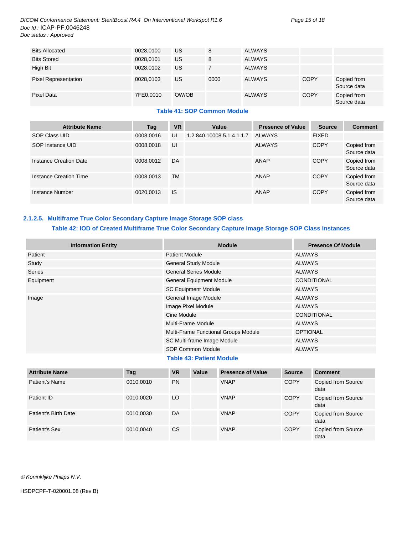| <b>Bits Allocated</b>       | 0028,0100 | US.   | 8    | ALWAYS        |             |                            |
|-----------------------------|-----------|-------|------|---------------|-------------|----------------------------|
| <b>Bits Stored</b>          | 0028,0101 | US.   | 8    | ALWAYS        |             |                            |
| High Bit                    | 0028,0102 | US    |      | <b>ALWAYS</b> |             |                            |
| <b>Pixel Representation</b> | 0028,0103 | US    | 0000 | <b>ALWAYS</b> | <b>COPY</b> | Copied from<br>Source data |
| Pixel Data                  | 7FE0.0010 | OW/OB |      | <b>ALWAYS</b> | <b>COPY</b> | Copied from<br>Source data |

#### **Table 41: SOP Common Module**

| <b>Attribute Name</b>  | Tag       | <b>VR</b> | Value                     | <b>Presence of Value</b> | <b>Source</b> | <b>Comment</b>             |
|------------------------|-----------|-----------|---------------------------|--------------------------|---------------|----------------------------|
| SOP Class UID          | 0008,0016 | UI        | 1.2.840.10008.5.1.4.1.1.7 | ALWAYS                   | <b>FIXED</b>  |                            |
| SOP Instance UID       | 0008.0018 | UI        |                           | <b>ALWAYS</b>            | <b>COPY</b>   | Copied from<br>Source data |
| Instance Creation Date | 0008.0012 | DA        |                           | <b>ANAP</b>              | <b>COPY</b>   | Copied from<br>Source data |
| Instance Creation Time | 0008.0013 | <b>TM</b> |                           | <b>ANAP</b>              | <b>COPY</b>   | Copied from<br>Source data |
| Instance Number        | 0020.0013 | <b>IS</b> |                           | <b>ANAP</b>              | <b>COPY</b>   | Copied from<br>Source data |

#### <span id="page-14-0"></span>**2.1.2.5. Multiframe True Color Secondary Capture Image Storage SOP class Table 42: IOD of Created Multiframe True Color Secondary Capture Image Storage SOP Class Instances**

| <b>Information Entity</b> | <b>Module</b>                        | <b>Presence Of Module</b> |
|---------------------------|--------------------------------------|---------------------------|
| Patient                   | <b>Patient Module</b>                | ALWAYS                    |
| Study                     | <b>General Study Module</b>          | ALWAYS                    |
| Series                    | <b>General Series Module</b>         | <b>ALWAYS</b>             |
| Equipment                 | <b>General Equipment Module</b>      | <b>CONDITIONAL</b>        |
|                           | <b>SC Equipment Module</b>           | <b>ALWAYS</b>             |
| Image                     | General Image Module                 | ALWAYS                    |
|                           | Image Pixel Module                   | <b>ALWAYS</b>             |
|                           | Cine Module                          | <b>CONDITIONAL</b>        |
|                           | Multi-Frame Module                   | ALWAYS                    |
|                           | Multi-Frame Functional Groups Module | <b>OPTIONAL</b>           |
|                           | SC Multi-frame Image Module          | <b>ALWAYS</b>             |
|                           | <b>SOP Common Module</b>             | <b>ALWAYS</b>             |
|                           |                                      |                           |

#### **Table 43: Patient Module**

| <b>Attribute Name</b> | Tag       | <b>VR</b> | Value | <b>Presence of Value</b> | <b>Source</b> | <b>Comment</b>             |
|-----------------------|-----------|-----------|-------|--------------------------|---------------|----------------------------|
| Patient's Name        | 0010,0010 | <b>PN</b> |       | <b>VNAP</b>              | <b>COPY</b>   | Copied from Source<br>data |
| Patient ID            | 0010,0020 | LO        |       | <b>VNAP</b>              | <b>COPY</b>   | Copied from Source<br>data |
| Patient's Birth Date  | 0010,0030 | DA        |       | <b>VNAP</b>              | <b>COPY</b>   | Copied from Source<br>data |
| Patient's Sex         | 0010,0040 | <b>CS</b> |       | <b>VNAP</b>              | <b>COPY</b>   | Copied from Source<br>data |

*Koninklijke Philips N.V.*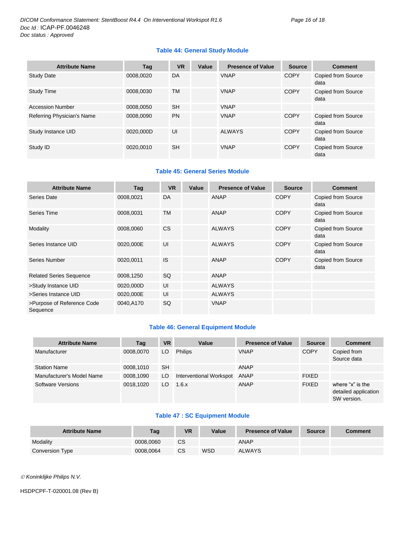#### **Table 44: General Study Module**

| <b>Attribute Name</b>      | Tag       | <b>VR</b> | Value | <b>Presence of Value</b> | <b>Source</b> | <b>Comment</b>             |
|----------------------------|-----------|-----------|-------|--------------------------|---------------|----------------------------|
| <b>Study Date</b>          | 0008.0020 | DA        |       | <b>VNAP</b>              | <b>COPY</b>   | Copied from Source<br>data |
| <b>Study Time</b>          | 0008.0030 | <b>TM</b> |       | <b>VNAP</b>              | <b>COPY</b>   | Copied from Source<br>data |
| <b>Accession Number</b>    | 0008.0050 | <b>SH</b> |       | <b>VNAP</b>              |               |                            |
| Referring Physician's Name | 0008.0090 | <b>PN</b> |       | <b>VNAP</b>              | <b>COPY</b>   | Copied from Source<br>data |
| Study Instance UID         | 0020.000D | UI        |       | <b>ALWAYS</b>            | <b>COPY</b>   | Copied from Source<br>data |
| Study ID                   | 0020.0010 | <b>SH</b> |       | <b>VNAP</b>              | <b>COPY</b>   | Copied from Source<br>data |

#### **Table 45: General Series Module**

| <b>Attribute Name</b>                  | Tag       | <b>VR</b> | Value | <b>Presence of Value</b> | <b>Source</b> | <b>Comment</b>                    |
|----------------------------------------|-----------|-----------|-------|--------------------------|---------------|-----------------------------------|
| Series Date                            | 0008,0021 | <b>DA</b> |       | ANAP                     | <b>COPY</b>   | <b>Copied from Source</b><br>data |
| Series Time                            | 0008,0031 | <b>TM</b> |       | <b>ANAP</b>              | <b>COPY</b>   | <b>Copied from Source</b><br>data |
| Modality                               | 0008,0060 | <b>CS</b> |       | <b>ALWAYS</b>            | <b>COPY</b>   | Copied from Source<br>data        |
| Series Instance UID                    | 0020,000E | UI        |       | <b>ALWAYS</b>            | <b>COPY</b>   | Copied from Source<br>data        |
| Series Number                          | 0020,0011 | IS        |       | ANAP                     | <b>COPY</b>   | <b>Copied from Source</b><br>data |
| <b>Related Series Sequence</b>         | 0008,1250 | <b>SQ</b> |       | ANAP                     |               |                                   |
| >Study Instance UID                    | 0020,000D | UI        |       | <b>ALWAYS</b>            |               |                                   |
| >Series Instance UID                   | 0020,000E | UI        |       | <b>ALWAYS</b>            |               |                                   |
| >Purpose of Reference Code<br>Sequence | 0040,A170 | SQ        |       | <b>VNAP</b>              |               |                                   |

#### **Table 46: General Equipment Module**

| <b>Attribute Name</b>     | Tag       | <b>VR</b> | Value                   | <b>Presence of Value</b> | <b>Source</b> | <b>Comment</b>                                          |
|---------------------------|-----------|-----------|-------------------------|--------------------------|---------------|---------------------------------------------------------|
| Manufacturer              | 0008,0070 | LO        | <b>Philips</b>          | <b>VNAP</b>              | <b>COPY</b>   | Copied from<br>Source data                              |
| <b>Station Name</b>       | 0008,1010 | <b>SH</b> |                         | <b>ANAP</b>              |               |                                                         |
| Manufacturer's Model Name | 0008,1090 | LO        | Interventional Workspot | ANAP                     | <b>FIXED</b>  |                                                         |
| Software Versions         | 0018,1020 | LO        | 1.6.x                   | <b>ANAP</b>              | <b>FIXED</b>  | where "x" is the<br>detailed application<br>SW version. |

#### **Table 47 : SC Equipment Module**

| <b>Attribute Name</b> | <b>Tag</b> | <b>VR</b> | Value | <b>Presence of Value</b> | <b>Source</b> | <b>Comment</b> |
|-----------------------|------------|-----------|-------|--------------------------|---------------|----------------|
| Modality              | 0008.0060  | СS        |       | ANAP                     |               |                |
| Conversion Type       | 0008.0064  | СS        | WSD   | <b>ALWAYS</b>            |               |                |

*Koninklijke Philips N.V.*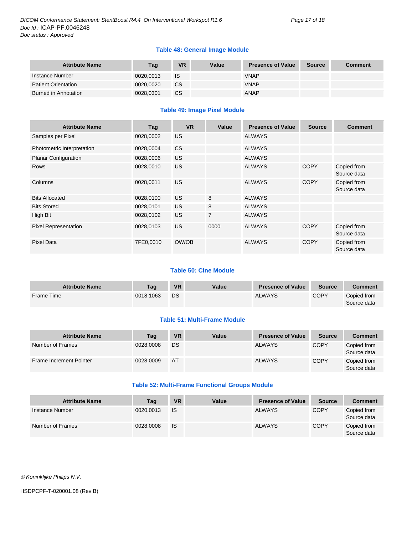#### **Table 48: General Image Module**

| <b>Attribute Name</b>      | Tag       | <b>VR</b> | Value | <b>Presence of Value</b> | <b>Source</b> | <b>Comment</b> |
|----------------------------|-----------|-----------|-------|--------------------------|---------------|----------------|
| Instance Number            | 0020.0013 | IS        |       | <b>VNAP</b>              |               |                |
| <b>Patient Orientation</b> | 0020.0020 | CS.       |       | <b>VNAP</b>              |               |                |
| Burned in Annotation       | 0028.0301 | CS.       |       | ANAP                     |               |                |

#### **Table 49: Image Pixel Module**

| <b>Attribute Name</b>       | Tag       | <b>VR</b> | Value          | <b>Presence of Value</b> | <b>Source</b> | <b>Comment</b>             |
|-----------------------------|-----------|-----------|----------------|--------------------------|---------------|----------------------------|
| Samples per Pixel           | 0028,0002 | <b>US</b> |                | <b>ALWAYS</b>            |               |                            |
| Photometric Interpretation  | 0028,0004 | <b>CS</b> |                | <b>ALWAYS</b>            |               |                            |
| <b>Planar Configuration</b> | 0028,0006 | <b>US</b> |                | <b>ALWAYS</b>            |               |                            |
| <b>Rows</b>                 | 0028,0010 | <b>US</b> |                | <b>ALWAYS</b>            | <b>COPY</b>   | Copied from<br>Source data |
| Columns                     | 0028,0011 | <b>US</b> |                | <b>ALWAYS</b>            | <b>COPY</b>   | Copied from<br>Source data |
| <b>Bits Allocated</b>       | 0028,0100 | US.       | 8              | <b>ALWAYS</b>            |               |                            |
| <b>Bits Stored</b>          | 0028,0101 | US.       | 8              | <b>ALWAYS</b>            |               |                            |
| High Bit                    | 0028,0102 | US.       | $\overline{7}$ | <b>ALWAYS</b>            |               |                            |
| <b>Pixel Representation</b> | 0028,0103 | <b>US</b> | 0000           | <b>ALWAYS</b>            | <b>COPY</b>   | Copied from<br>Source data |
| <b>Pixel Data</b>           | 7FE0,0010 | OW/OB     |                | <b>ALWAYS</b>            | <b>COPY</b>   | Copied from<br>Source data |

#### **Table 50: Cine Module**

| <b>Attribute Name</b> | Taq       | <b>VR</b> | Value | <b>Presence of Value</b> | Source      | Comment                    |
|-----------------------|-----------|-----------|-------|--------------------------|-------------|----------------------------|
| <b>Frame Time</b>     | 0018.1063 | DS        |       | <b>ALWAYS</b>            | <b>COPY</b> | Copied from<br>Source data |

#### **Table 51: Multi-Frame Module**

| <b>Attribute Name</b>   | Tag       | <b>VR</b> | Value | <b>Presence of Value</b> | <b>Source</b> | <b>Comment</b>             |
|-------------------------|-----------|-----------|-------|--------------------------|---------------|----------------------------|
| Number of Frames        | 0028,0008 | DS        |       | <b>ALWAYS</b>            | <b>COPY</b>   | Copied from<br>Source data |
| Frame Increment Pointer | 0028,0009 | AT        |       | <b>ALWAYS</b>            | <b>COPY</b>   | Copied from<br>Source data |

#### **Table 52: Multi-Frame Functional Groups Module**

| <b>Attribute Name</b> | Tag       | <b>VR</b> | Value | <b>Presence of Value</b> | <b>Source</b> | <b>Comment</b>             |
|-----------------------|-----------|-----------|-------|--------------------------|---------------|----------------------------|
| Instance Number       | 0020.0013 | <b>IS</b> |       | <b>ALWAYS</b>            | <b>COPY</b>   | Copied from<br>Source data |
| Number of Frames      | 0028,0008 | <b>IS</b> |       | <b>ALWAYS</b>            | <b>COPY</b>   | Copied from<br>Source data |

*Koninklijke Philips N.V.*